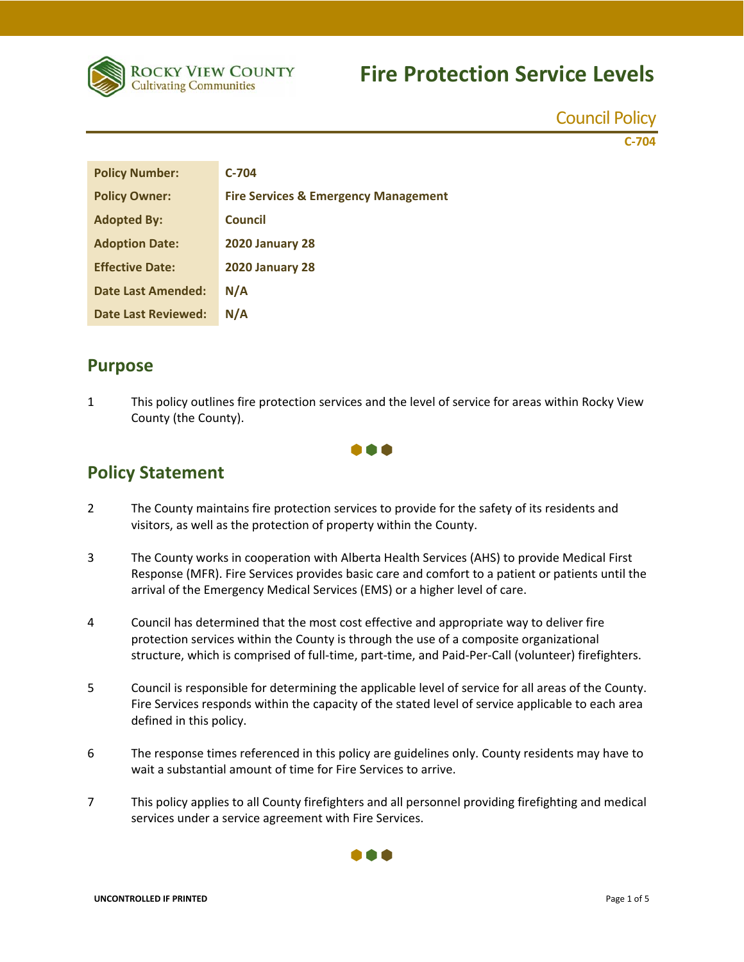

Council Policy

**C‐704**

| <b>Policy Number:</b>      | $C-704$                                         |
|----------------------------|-------------------------------------------------|
| <b>Policy Owner:</b>       | <b>Fire Services &amp; Emergency Management</b> |
| <b>Adopted By:</b>         | Council                                         |
| <b>Adoption Date:</b>      | <b>2020 January 28</b>                          |
| <b>Effective Date:</b>     | <b>2020 January 28</b>                          |
| <b>Date Last Amended:</b>  | N/A                                             |
| <b>Date Last Reviewed:</b> | N/A                                             |

### **Purpose**

1 This policy outlines fire protection services and the level of service for areas within Rocky View County (the County).



### **Policy Statement**

- 2 The County maintains fire protection services to provide for the safety of its residents and visitors, as well as the protection of property within the County.
- 3 The County works in cooperation with Alberta Health Services (AHS) to provide Medical First Response (MFR). Fire Services provides basic care and comfort to a patient or patients until the arrival of the Emergency Medical Services (EMS) or a higher level of care.
- 4 Council has determined that the most cost effective and appropriate way to deliver fire protection services within the County is through the use of a composite organizational structure, which is comprised of full-time, part-time, and Paid-Per-Call (volunteer) firefighters.
- 5 Council is responsible for determining the applicable level of service for all areas of the County. Fire Services responds within the capacity of the stated level of service applicable to each area defined in this policy.
- 6 The response times referenced in this policy are guidelines only. County residents may have to wait a substantial amount of time for Fire Services to arrive.
- 7 This policy applies to all County firefighters and all personnel providing firefighting and medical services under a service agreement with Fire Services.

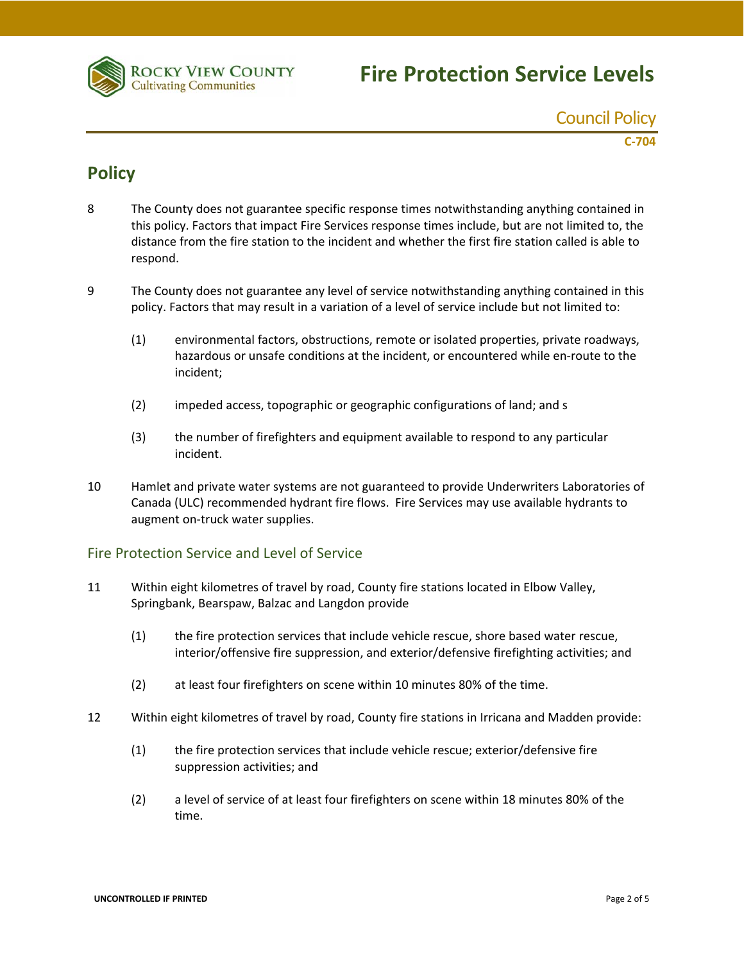

Council Policy

**C‐704**

### **Policy**

- 8 The County does not guarantee specific response times notwithstanding anything contained in this policy. Factors that impact Fire Services response times include, but are not limited to, the distance from the fire station to the incident and whether the first fire station called is able to respond.
- 9 The County does not guarantee any level of service notwithstanding anything contained in this policy. Factors that may result in a variation of a level of service include but not limited to:
	- (1) environmental factors, obstructions, remote or isolated properties, private roadways, hazardous or unsafe conditions at the incident, or encountered while en-route to the incident;
	- (2) impeded access, topographic or geographic configurations of land; and s
	- (3) the number of firefighters and equipment available to respond to any particular incident.
- 10 Hamlet and private water systems are not guaranteed to provide Underwriters Laboratories of Canada (ULC) recommended hydrant fire flows. Fire Services may use available hydrants to augment on‐truck water supplies.

#### Fire Protection Service and Level of Service

- 11 Within eight kilometres of travel by road, County fire stations located in Elbow Valley, Springbank, Bearspaw, Balzac and Langdon provide
	- (1) the fire protection services that include vehicle rescue, shore based water rescue, interior/offensive fire suppression, and exterior/defensive firefighting activities; and
	- (2) at least four firefighters on scene within 10 minutes 80% of the time.
- 12 Within eight kilometres of travel by road, County fire stations in Irricana and Madden provide:
	- (1) the fire protection services that include vehicle rescue; exterior/defensive fire suppression activities; and
	- (2) a level of service of at least four firefighters on scene within 18 minutes 80% of the time.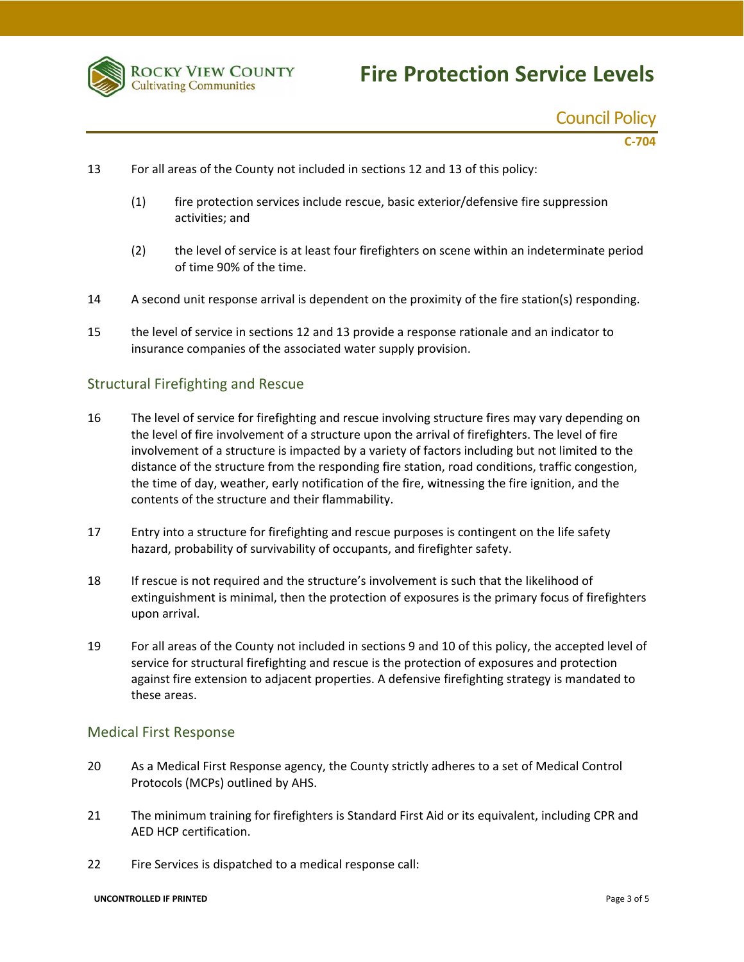

## Council Policy

**C‐704**

- 13 For all areas of the County not included in sections 12 and 13 of this policy:
	- (1) fire protection services include rescue, basic exterior/defensive fire suppression activities; and
	- (2) the level of service is at least four firefighters on scene within an indeterminate period of time 90% of the time.
- 14 A second unit response arrival is dependent on the proximity of the fire station(s) responding.
- 15 the level of service in sections 12 and 13 provide a response rationale and an indicator to insurance companies of the associated water supply provision.

#### Structural Firefighting and Rescue

- 16 The level of service for firefighting and rescue involving structure fires may vary depending on the level of fire involvement of a structure upon the arrival of firefighters. The level of fire involvement of a structure is impacted by a variety of factors including but not limited to the distance of the structure from the responding fire station, road conditions, traffic congestion, the time of day, weather, early notification of the fire, witnessing the fire ignition, and the contents of the structure and their flammability.
- 17 Entry into a structure for firefighting and rescue purposes is contingent on the life safety hazard, probability of survivability of occupants, and firefighter safety.
- 18 If rescue is not required and the structure's involvement is such that the likelihood of extinguishment is minimal, then the protection of exposures is the primary focus of firefighters upon arrival.
- 19 For all areas of the County not included in sections 9 and 10 of this policy, the accepted level of service for structural firefighting and rescue is the protection of exposures and protection against fire extension to adjacent properties. A defensive firefighting strategy is mandated to these areas.

#### Medical First Response

- 20 As a Medical First Response agency, the County strictly adheres to a set of Medical Control Protocols (MCPs) outlined by AHS.
- 21 The minimum training for firefighters is Standard First Aid or its equivalent, including CPR and AED HCP certification.
- 22 Fire Services is dispatched to a medical response call: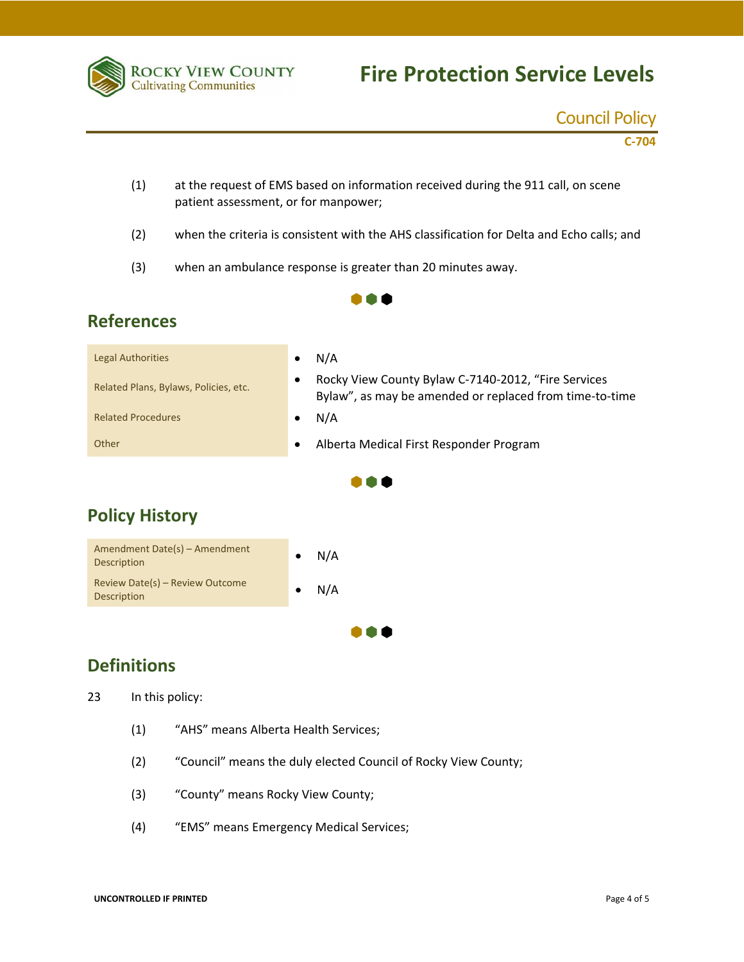

### Council Policy

**C‐704**

(1) at the request of EMS based on information received during the 911 call, on scene patient assessment, or for manpower;

 $\bullet \bullet \bullet$ 

- (2) when the criteria is consistent with the AHS classification for Delta and Echo calls; and
- (3) when an ambulance response is greater than 20 minutes away.

### **References**

| <b>Legal Authorities</b>              | N/A<br>٠                                                                                                                    |  |  |  |
|---------------------------------------|-----------------------------------------------------------------------------------------------------------------------------|--|--|--|
| Related Plans, Bylaws, Policies, etc. | Rocky View County Bylaw C-7140-2012, "Fire Services<br>$\bullet$<br>Bylaw", as may be amended or replaced from time-to-time |  |  |  |
| <b>Related Procedures</b>             | N/A                                                                                                                         |  |  |  |
| Other                                 | Alberta Medical First Responder Program<br>$\bullet$                                                                        |  |  |  |
|                                       |                                                                                                                             |  |  |  |

 $\bullet \bullet \bullet$ 

## **Policy History**

| Amendment Date(s) – Amendment<br>Description          | N/A |
|-------------------------------------------------------|-----|
| Review Date(s) - Review Outcome<br><b>Description</b> | N/A |
|                                                       |     |

## **Definitions**

23 In this policy:

- (1) "AHS" means Alberta Health Services;
- (2) "Council" means the duly elected Council of Rocky View County;
- (3) "County" means Rocky View County;
- (4) "EMS" means Emergency Medical Services;